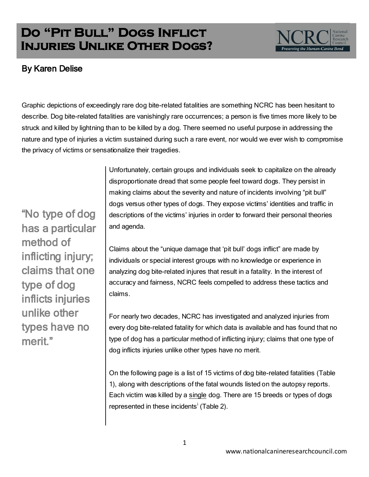## **Do "Pit Bull" Dogs Inflict Injuries Unlike Other Dogs?**



## By Karen Delise

Graphic depictions of exceedingly rare dog bite-related fatalities are something NCRC has been hesitant to describe. Dog bite-related fatalities are vanishingly rare occurrences; a person is five times more likely to be struck and killed by lightning than to be killed by a dog. There seemed no useful purpose in addressing the nature and type of injuries a victim sustained during such a rare event, nor would we ever wish to compromise the privacy of victims or sensationalize their tragedies.

"No type of dog has a particular method of inflicting injury; claims that one type of dog inflicts injuries unlike other types have no merit."

Unfortunately, certain groups and individuals seek to capitalize on the already disproportionate dread that some people feel toward dogs. They persist in making claims about the severity and nature of incidents involving "pit bull" dogs versus other types of dogs. They expose victims" identities and traffic in descriptions of the victims' injuries in order to forward their personal theories and agenda.

Claims about the "unique damage that "pit bull" dogs inflict" are made by individuals or special interest groups with no knowledge or experience in analyzing dog bite-related injures that result in a fatality. In the interest of accuracy and fairness, NCRC feels compelled to address these tactics and claims.

For nearly two decades, NCRC has investigated and analyzed injuries from every dog bite-related fatality for which data is available and has found that no type of dog has a particular method of inflicting injury; claims that one type of dog inflicts injuries unlike other types have no merit.

On the following page is a list of 15 victims of dog bite-related fatalities (Table 1), along with descriptions of the fatal wounds listed on the autopsy reports. Each victim was killed by a single dog. There are 15 breeds or types of dogs represented in these incidents<sup>i</sup> (Table 2).